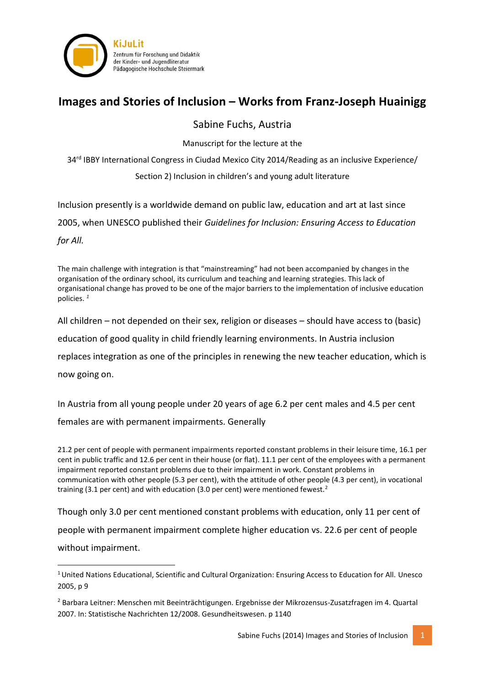

## **Images and Stories of Inclusion – Works from Franz-Joseph Huainigg**

### Sabine Fuchs, Austria

Manuscript for the lecture at the

34<sup>rd</sup> IBBY International Congress in Ciudad Mexico City 2014/Reading as an inclusive Experience/

Section 2) Inclusion in children's and young adult literature

Inclusion presently is a worldwide demand on public law, education and art at last since

2005, when UNESCO published their *Guidelines for Inclusion: Ensuring Access to Education* 

*for All.* 

The main challenge with integration is that "mainstreaming" had not been accompanied by changes in the organisation of the ordinary school, its curriculum and teaching and learning strategies. This lack of organisational change has proved to be one of the major barriers to the implementation of inclusive education policies. *<sup>1</sup>*

All children – not depended on their sex, religion or diseases – should have access to (basic)

education of good quality in child friendly learning environments. In Austria inclusion

replaces integration as one of the principles in renewing the new teacher education, which is

now going on.

**.** 

In Austria from all young people under 20 years of age 6.2 per cent males and 4.5 per cent

females are with permanent impairments. Generally

21.2 per cent of people with permanent impairments reported constant problems in their leisure time, 16.1 per cent in public traffic and 12.6 per cent in their house (or flat). 11.1 per cent of the employees with a permanent impairment reported constant problems due to their impairment in work. Constant problems in communication with other people (5.3 per cent), with the attitude of other people (4.3 per cent), in vocational training (3.1 per cent) and with education (3.0 per cent) were mentioned fewest.<sup>2</sup>

Though only 3.0 per cent mentioned constant problems with education, only 11 per cent of people with permanent impairment complete higher education vs. 22.6 per cent of people without impairment.

<sup>1</sup>United Nations Educational, Scientific and Cultural Organization: Ensuring Access to Education for All. Unesco 2005, p 9

<sup>2</sup> Barbara Leitner: Menschen mit Beeinträchtigungen. Ergebnisse der Mikrozensus-Zusatzfragen im 4. Quartal 2007. In: Statistische Nachrichten 12/2008. Gesundheitswesen. p 1140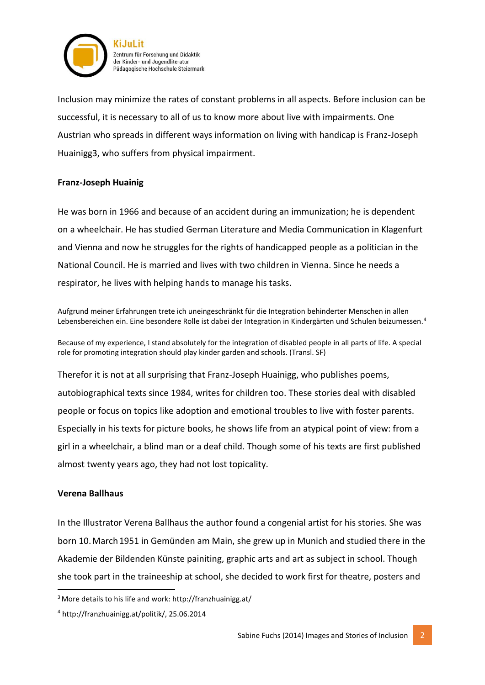

Inclusion may minimize the rates of constant problems in all aspects. Before inclusion can be successful, it is necessary to all of us to know more about live with impairments. One Austrian who spreads in different ways information on living with handicap is Franz-Joseph Huainigg3, who suffers from physical impairment.

### **Franz-Joseph Huainig**

He was born in 1966 and because of an accident during an immunization; he is dependent on a wheelchair. He has studied German Literature and Media Communication in Klagenfurt and Vienna and now he struggles for the rights of handicapped people as a politician in the National Council. He is married and lives with two children in Vienna. Since he needs a respirator, he lives with helping hands to manage his tasks.

Aufgrund meiner Erfahrungen trete ich uneingeschränkt für die Integration behinderter Menschen in allen Lebensbereichen ein. Eine besondere Rolle ist dabei der Integration in Kindergärten und Schulen beizumessen.<sup>4</sup>

Because of my experience, I stand absolutely for the integration of disabled people in all parts of life. A special role for promoting integration should play kinder garden and schools. (Transl. SF)

Therefor it is not at all surprising that Franz-Joseph Huainigg, who publishes poems, autobiographical texts since 1984, writes for children too. These stories deal with disabled people or focus on topics like adoption and emotional troubles to live with foster parents. Especially in his texts for picture books, he shows life from an atypical point of view: from a girl in a wheelchair, a blind man or a deaf child. Though some of his texts are first published almost twenty years ago, they had not lost topicality.

### **Verena Ballhaus**

**.** 

In the Illustrator Verena Ballhaus the author found a congenial artist for his stories. She was born 10. March 1951 in Gemünden am Main, she grew up in Munich and studied there in the Akademie der Bildenden Künste painiting, graphic arts and art as subject in school. Though she took part in the traineeship at school, she decided to work first for theatre, posters and

<sup>3</sup>More details to his life and work: http://franzhuainigg.at/

<sup>4</sup> http://franzhuainigg.at/politik/, 25.06.2014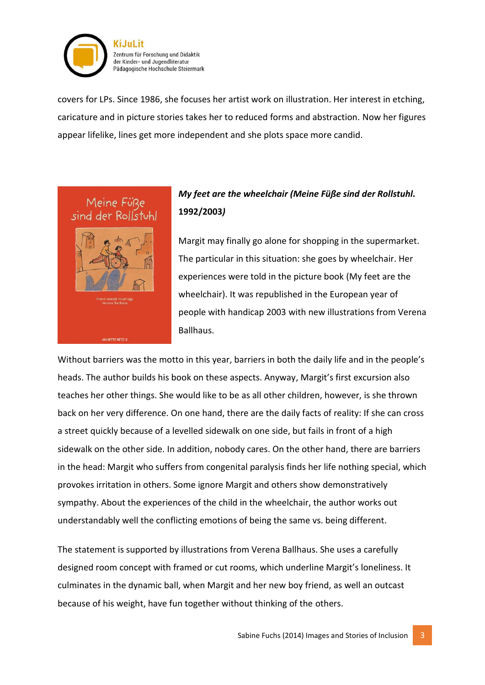

covers for LPs. Since 1986, she focuses her artist work on illustration. Her interest in etching, caricature and in picture stories takes her to reduced forms and abstraction. Now her figures appear lifelike, lines get more independent and she plots space more candid.



### *My feet are the wheelchair (Meine Füße sind der Rollstuhl.*  **1992/2003***)*

Margit may finally go alone for shopping in the supermarket. The particular in this situation: she goes by wheelchair. Her experiences were told in the picture book (My feet are the wheelchair). It was republished in the European year of people with handicap 2003 with new illustrations from Verena Ballhaus.

Without barriers was the motto in this year, barriers in both the daily life and in the people's heads. The author builds his book on these aspects. Anyway, Margit's first excursion also teaches her other things. She would like to be as all other children, however, is she thrown back on her very difference. On one hand, there are the daily facts of reality: If she can cross a street quickly because of a levelled sidewalk on one side, but fails in front of a high sidewalk on the other side. In addition, nobody cares. On the other hand, there are barriers in the head: Margit who suffers from congenital paralysis finds her life nothing special, which provokes irritation in others. Some ignore Margit and others show demonstratively sympathy. About the experiences of the child in the wheelchair, the author works out understandably well the conflicting emotions of being the same vs. being different.

The statement is supported by illustrations from Verena Ballhaus. She uses a carefully designed room concept with framed or cut rooms, which underline Margit's loneliness. It culminates in the dynamic ball, when Margit and her new boy friend, as well an outcast because of his weight, have fun together without thinking of the others.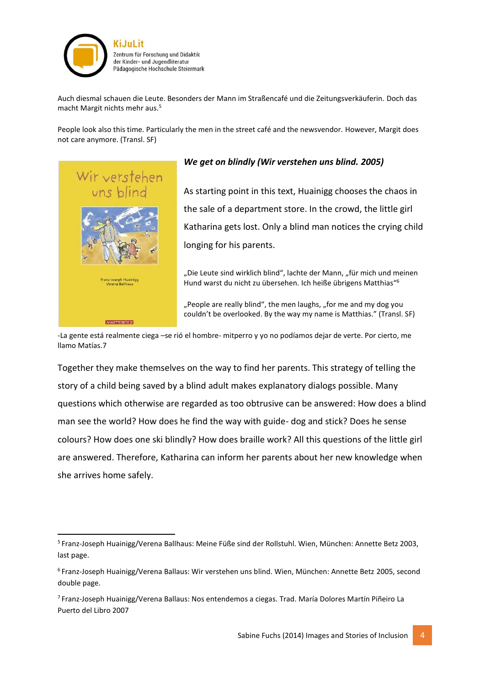

Auch diesmal schauen die Leute. Besonders der Mann im Straßencafé und die Zeitungsverkäuferin. Doch das macht Margit nichts mehr aus.<sup>5</sup>

People look also this time. Particularly the men in the street café and the newsvendor. However, Margit does not care anymore. (Transl. SF)



**.** 

### *We get on blindly (Wir verstehen uns blind. 2005)*

As starting point in this text, Huainigg chooses the chaos in the sale of a department store. In the crowd, the little girl Katharina gets lost. Only a blind man notices the crying child longing for his parents.

"Die Leute sind wirklich blind", lachte der Mann, "für mich und meinen Hund warst du nicht zu übersehen. Ich heiße übrigens Matthias"<sup>6</sup>

"People are really blind", the men laughs, "for me and my dog you couldn't be overlooked. By the way my name is Matthias." (Transl. SF)

-La gente está realmente ciega –se rió el hombre- mitperro y yo no podíamos dejar de verte. Por cierto, me llamo Matías.7

Together they make themselves on the way to find her parents. This strategy of telling the story of a child being saved by a blind adult makes explanatory dialogs possible. Many questions which otherwise are regarded as too obtrusive can be answered: How does a blind man see the world? How does he find the way with guide- dog and stick? Does he sense colours? How does one ski blindly? How does braille work? All this questions of the little girl are answered. Therefore, Katharina can inform her parents about her new knowledge when she arrives home safely.

<sup>5</sup> Franz-Joseph Huainigg/Verena Ballhaus: Meine Füße sind der Rollstuhl. Wien, München: Annette Betz 2003, last page.

<sup>6</sup> Franz-Joseph Huainigg/Verena Ballaus: Wir verstehen uns blind. Wien, München: Annette Betz 2005, second double page.

<sup>7</sup> Franz-Joseph Huainigg/Verena Ballaus: Nos entendemos a ciegas. Trad[. María Dolores Martín Piñeiro](http://www.amazon.de/s/ref=ntt_athr_dp_sr_3?_encoding=UTF8&field-author=Mar%C3%ADa%20Dolores%20Mart%C3%ADn%20Pi%C3%B1eiro&search-alias=books-de-intl-us&sort=relevancerank) La Puerto del Libro 2007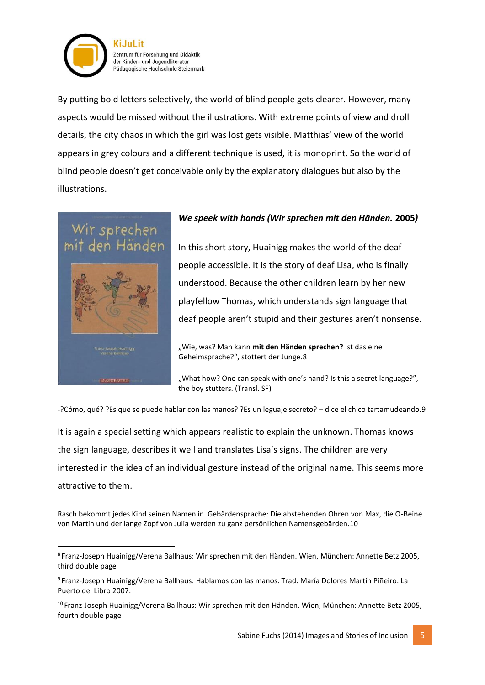

By putting bold letters selectively, the world of blind people gets clearer. However, many aspects would be missed without the illustrations. With extreme points of view and droll details, the city chaos in which the girl was lost gets visible. Matthias' view of the world appears in grey colours and a different technique is used, it is monoprint. So the world of blind people doesn't get conceivable only by the explanatory dialogues but also by the illustrations.

# sprech



### *We speek with hands (Wir sprechen mit den Händen.* **2005***)*

In this short story, Huainigg makes the world of the deaf people accessible. It is the story of deaf Lisa, who is finally understood. Because the other children learn by her new playfellow Thomas, which understands sign language that deaf people aren't stupid and their gestures aren't nonsense.

"Wie, was? Man kann mit den Händen sprechen? Ist das eine Geheimsprache?", stottert der Junge.8

"What how? One can speak with one's hand? Is this a secret language?", the boy stutters. (Transl. SF)

-?Cómo, qué? ?Es que se puede hablar con las manos? ?Es un leguaje secreto? – dice el chico tartamudeando.9

It is again a special setting which appears realistic to explain the unknown. Thomas knows the sign language, describes it well and translates Lisa's signs. The children are very interested in the idea of an individual gesture instead of the original name. This seems more attractive to them.

Rasch bekommt jedes Kind seinen Namen in Gebärdensprache: Die abstehenden Ohren von Max, die O-Beine von Martin und der lange Zopf von Julia werden zu ganz persönlichen Namensgebärden.10

**<sup>.</sup>** 8 Franz-Joseph Huainigg/Verena Ballhaus: Wir sprechen mit den Händen. Wien, München: Annette Betz 2005, third double page

<sup>9</sup> Franz-Joseph Huainigg/Verena Ballhaus: Hablamos con las manos. Trad. [María Dolores Martín Piñeiro.](http://www.amazon.de/s/ref=ntt_athr_dp_sr_3?_encoding=UTF8&field-author=Mar%C3%ADa%20Dolores%20Mart%C3%ADn%20Pi%C3%B1eiro&search-alias=books-de-intl-us&sort=relevancerank) La Puerto del Libro 2007.

<sup>10</sup> Franz-Joseph Huainigg/Verena Ballhaus: Wir sprechen mit den Händen. Wien, München: Annette Betz 2005, fourth double page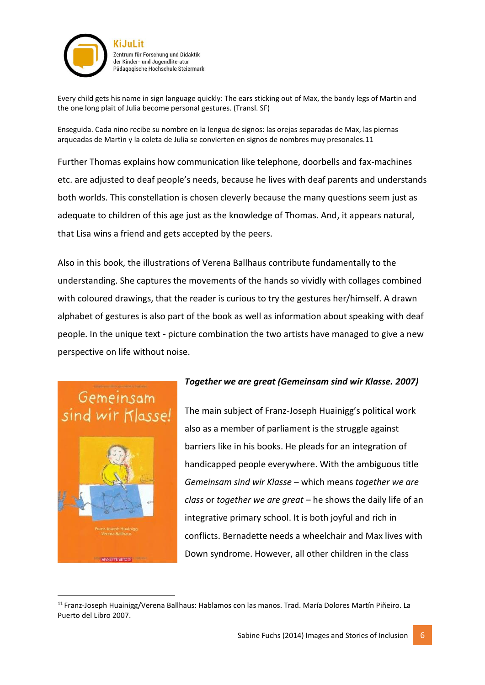

Every child gets his name in sign language quickly: The ears sticking out of Max, the bandy legs of Martin and the one long plait of Julia become personal gestures. (Transl. SF)

Enseguida. Cada nino recibe su nombre en la lengua de signos: las orejas separadas de Max, las piernas arqueadas de Martìn y la coleta de Julia se convierten en signos de nombres muy presonales.11

Further Thomas explains how communication like telephone, doorbells and fax-machines etc. are adjusted to deaf people's needs, because he lives with deaf parents and understands both worlds. This constellation is chosen cleverly because the many questions seem just as adequate to children of this age just as the knowledge of Thomas. And, it appears natural, that Lisa wins a friend and gets accepted by the peers.

Also in this book, the illustrations of Verena Ballhaus contribute fundamentally to the understanding. She captures the movements of the hands so vividly with collages combined with coloured drawings, that the reader is curious to try the gestures her/himself. A drawn alphabet of gestures is also part of the book as well as information about speaking with deaf people. In the unique text - picture combination the two artists have managed to give a new perspective on life without noise.

## Gemeinsam



**.** 

### *Together we are great (Gemeinsam sind wir Klasse. 2007)*

The main subject of Franz-Joseph Huainigg's political work also as a member of parliament is the struggle against barriers like in his books. He pleads for an integration of handicapped people everywhere. With the ambiguous title *Gemeinsam sind wir Klasse* – which means *together we are class* or *together we are great* – he shows the daily life of an integrative primary school. It is both joyful and rich in conflicts. Bernadette needs a wheelchair and Max lives with Down syndrome. However, all other children in the class

<sup>11</sup> Franz-Joseph Huainigg/Verena Ballhaus: Hablamos con las manos. Trad. [María Dolores Martín Piñeiro.](http://www.amazon.de/s/ref=ntt_athr_dp_sr_3?_encoding=UTF8&field-author=Mar%C3%ADa%20Dolores%20Mart%C3%ADn%20Pi%C3%B1eiro&search-alias=books-de-intl-us&sort=relevancerank) La Puerto del Libro 2007.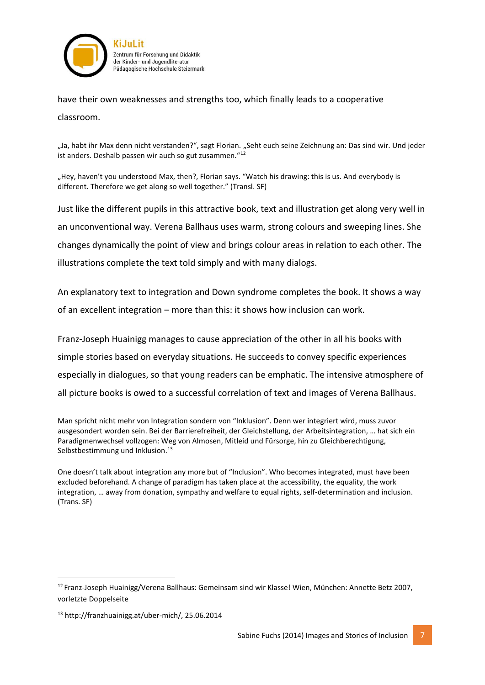

have their own weaknesses and strengths too, which finally leads to a cooperative classroom.

"Ja, habt ihr Max denn nicht verstanden?", sagt Florian. "Seht euch seine Zeichnung an: Das sind wir. Und jeder ist anders. Deshalb passen wir auch so gut zusammen."<sup>12</sup>

"Hey, haven't you understood Max, then?, Florian says. "Watch his drawing: this is us. And everybody is different. Therefore we get along so well together." (Transl. SF)

Just like the different pupils in this attractive book, text and illustration get along very well in an unconventional way. Verena Ballhaus uses warm, strong colours and sweeping lines. She changes dynamically the point of view and brings colour areas in relation to each other. The illustrations complete the text told simply and with many dialogs.

An explanatory text to integration and Down syndrome completes the book. It shows a way of an excellent integration – more than this: it shows how inclusion can work.

Franz-Joseph Huainigg manages to cause appreciation of the other in all his books with simple stories based on everyday situations. He succeeds to convey specific experiences especially in dialogues, so that young readers can be emphatic. The intensive atmosphere of all picture books is owed to a successful correlation of text and images of Verena Ballhaus.

Man spricht nicht mehr von Integration sondern von "Inklusion". Denn wer integriert wird, muss zuvor ausgesondert worden sein. Bei der Barrierefreiheit, der Gleichstellung, der Arbeitsintegration, … hat sich ein Paradigmenwechsel vollzogen: Weg von Almosen, Mitleid und Fürsorge, hin zu Gleichberechtigung, Selbstbestimmung und Inklusion.<sup>13</sup>

One doesn't talk about integration any more but of "Inclusion". Who becomes integrated, must have been excluded beforehand. A change of paradigm has taken place at the accessibility, the equality, the work integration, … away from donation, sympathy and welfare to equal rights, self-determination and inclusion. (Trans. SF)

1

<sup>12</sup> Franz-Joseph Huainigg/Verena Ballhaus: Gemeinsam sind wir Klasse! Wien, München: Annette Betz 2007, vorletzte Doppelseite

<sup>13</sup> http://franzhuainigg.at/uber-mich/, 25.06.2014